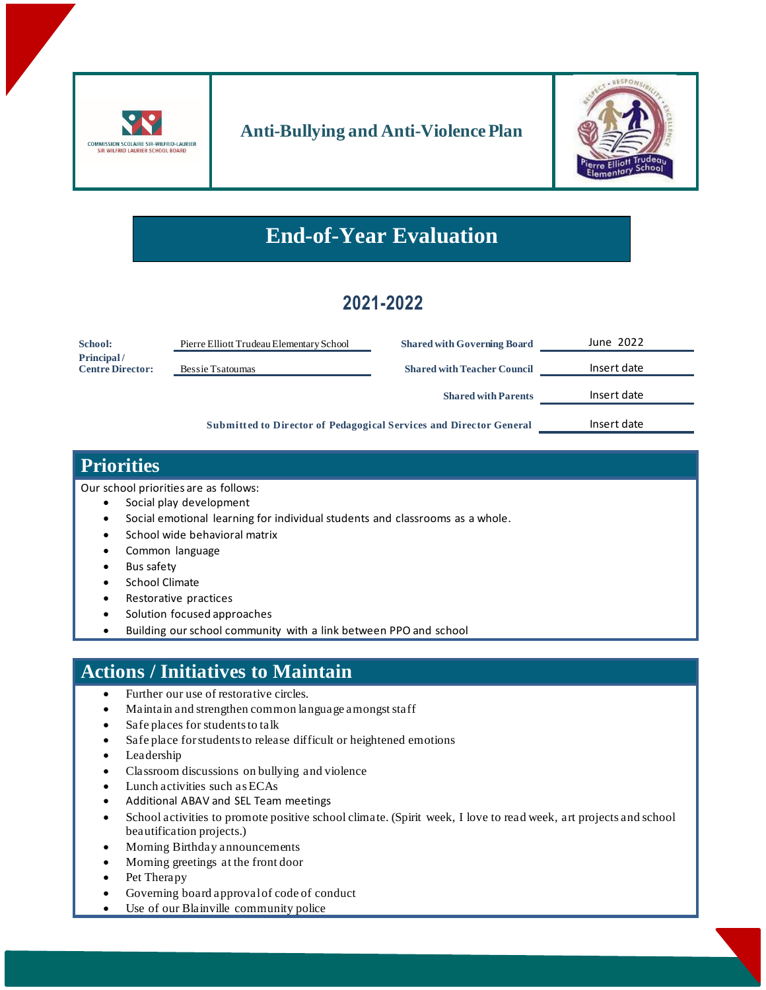

#### **Anti-Bullying and Anti-ViolencePlan**



# **End-of-Year Evaluation**

## **2021-2022**

| School:                               | Pierre Elliott Trudeau Elementary School                                  | <b>Shared with Governing Board</b> | June 2022   |
|---------------------------------------|---------------------------------------------------------------------------|------------------------------------|-------------|
| Principal/<br><b>Centre Director:</b> | Bessie Tsatoumas                                                          | <b>Shared with Teacher Council</b> | Insert date |
|                                       |                                                                           | <b>Shared with Parents</b>         | Insert date |
|                                       | <b>Submitted to Director of Pedagogical Services and Director General</b> |                                    | Insert date |

#### **Priorities**

Our school priorities are as follows:

- Social play development
- Social emotional learning for individual students and classrooms as a whole.
- School wide behavioral matrix
- Common language
- Bus safety
- School Climate
- Restorative practices
- Solution focused approaches
- Building our school community with a link between PPO and school

#### **Actions / Initiatives to Maintain**

- Further our use of restorative circles.
- Maintain and strengthen common language amongst staff
- Safe places for students to talk
- Safe place for students to release difficult or heightened emotions
- Leadership
- Classroom discussions on bullying and violence
- Lunch activities such as ECAs
- Additional ABAV and SEL Team meetings
- School activities to promote positive school climate. (Spirit week, I love to read week, art projects and school beautification projects.)
- Morning Birthday announcements
- Morning greetings at the front door
- Pet Therapy
- Governing board approval of code of conduct
- Use of our Blainville community police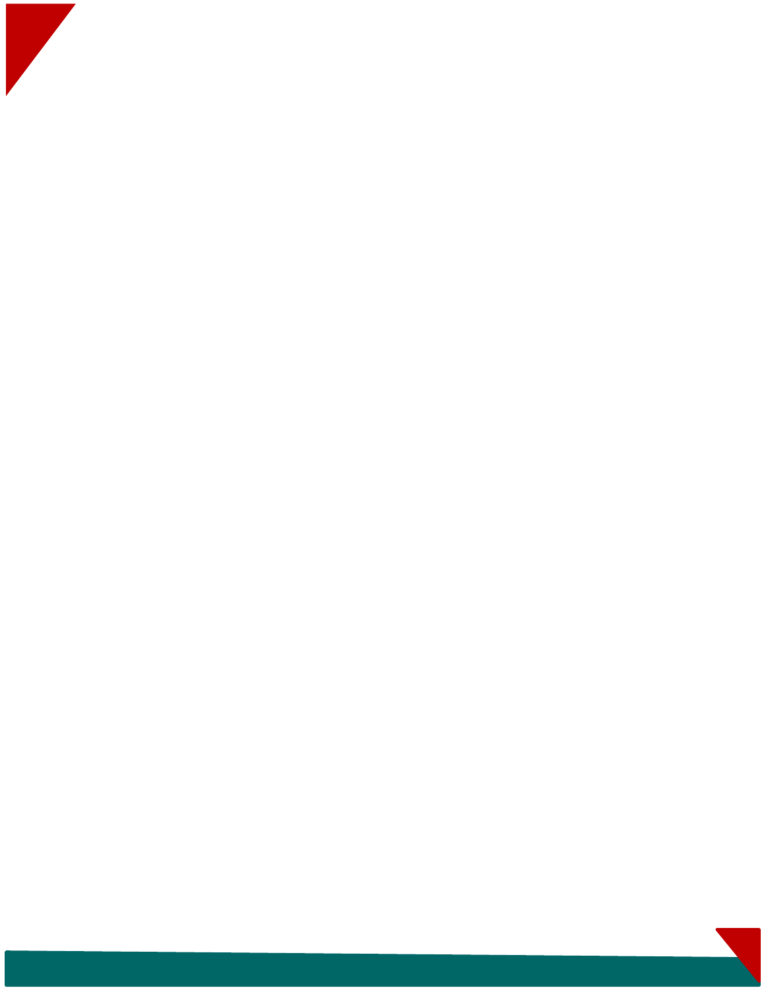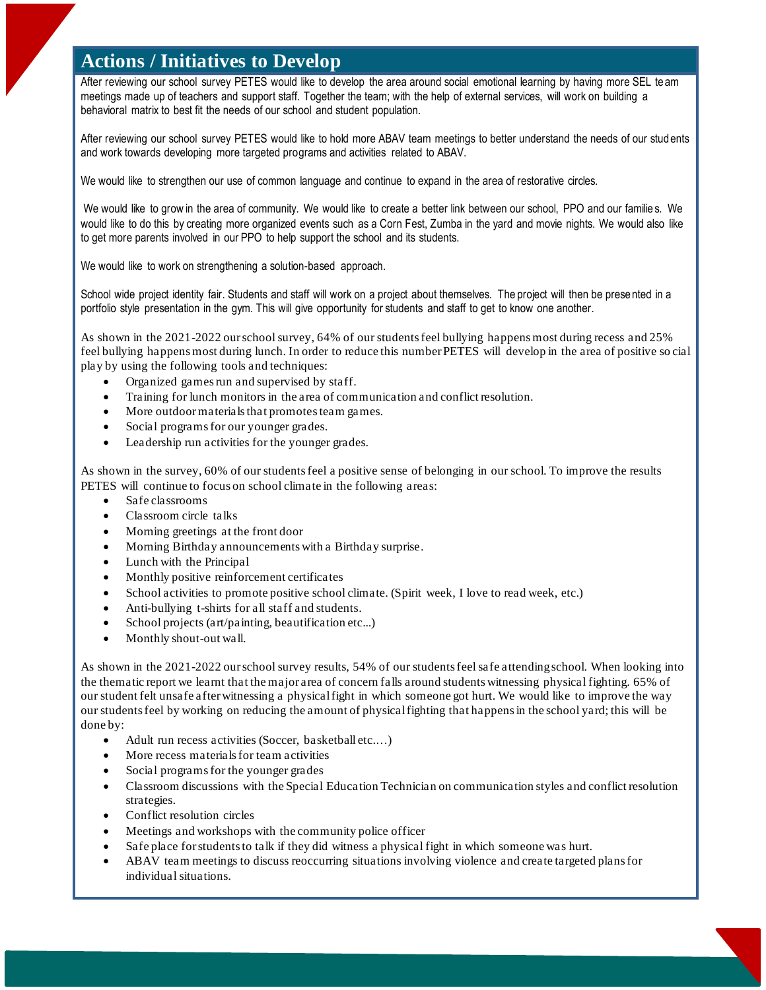### **Actions / Initiatives to Develop**

After reviewing our school survey PETES would like to develop the area around social emotional learning by having more SEL te am meetings made up of teachers and support staff. Together the team; with the help of external services, will work on building a behavioral matrix to best fit the needs of our school and student population.

After reviewing our school survey PETES would like to hold more ABAV team meetings to better understand the needs of our stud ents and work towards developing more targeted programs and activities related to ABAV.

We would like to strengthen our use of common language and continue to expand in the area of restorative circles.

We would like to grow in the area of community. We would like to create a better link between our school, PPO and our familie s. We would like to do this by creating more organized events such as a Corn Fest, Zumba in the yard and movie nights. We would also like to get more parents involved in our PPO to help support the school and its students.

We would like to work on strengthening a solution-based approach.

School wide project identity fair. Students and staff will work on a project about themselves. The project will then be prese nted in a portfolio style presentation in the gym. This will give opportunity for students and staff to get to know one another.

As shown in the 2021-2022 our school survey, 64% of our students feel bullying happens most during recess and 25% feel bullying happens most during lunch. In order to reduce this number PETES will develop in the area of positive so cial play by using the following tools and techniques:

- Organized games run and supervised by staff.
- Training for lunch monitors in the area of communication and conflict resolution.
- More outdoor materials that promotes team games.
- Social programs for our younger grades.
- Leadership run activities for the younger grades.

As shown in the survey, 60% of our students feel a positive sense of belonging in our school. To improve the results PETES will continue to focus on school climate in the following areas:

- Safe classrooms
- Classroom circle talks
- Morning greetings at the front door
- Morning Birthday announcements with a Birthday surprise.
- Lunch with the Principal
- Monthly positive reinforcement certificates
- School activities to promote positive school climate. (Spirit week, I love to read week, etc.)
- Anti-bullying t-shirts for all staff and students.
- School projects (art/painting, beautification etc...)
- Monthly shout-out wall.

As shown in the 2021-2022 our school survey results, 54% of our students feel safe attending school. When looking into the thematic report we learnt that the major area of concern falls around students witnessing physical fighting. 65% of our student felt unsafe after witnessing a physical fight in which someone got hurt. We would like to improve the way our students feel by working on reducing the amount of physical fighting that happens in the school yard; this will be done by:

- Adult run recess activities (Soccer, basketball etc....)
- More recess materials for team activities
- Social programs for the younger grades
- Classroom discussions with the Special Education Technician on communication styles and conflict resolution strategies.
- Conflict resolution circles
- Meetings and workshops with the community police officer
- Safe place for students to talk if they did witness a physical fight in which someone was hurt.
- ABAV team meetings to discuss reoccurring situations involving violence and create targeted plans for individual situations.